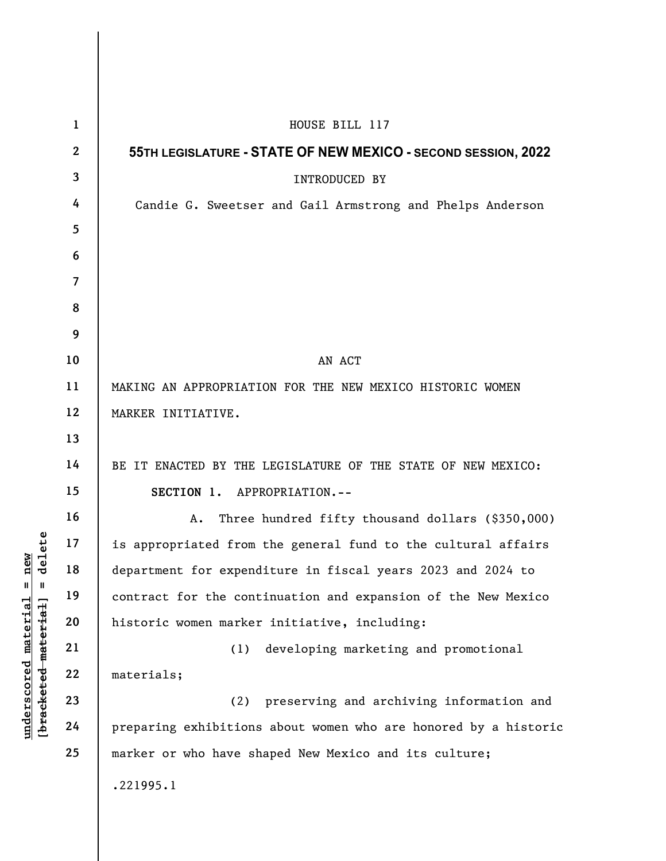|                                                                                          | $\mathbf{1}$    | HOUSE BILL 117                                                  |
|------------------------------------------------------------------------------------------|-----------------|-----------------------------------------------------------------|
| delete<br>new<br>$^{\mathsf{II}}$<br>Ш<br>$underscored$ material<br>[bracketed material] | $\mathbf{2}$    | 55TH LEGISLATURE - STATE OF NEW MEXICO - SECOND SESSION, 2022   |
|                                                                                          | $\mathbf{3}$    | INTRODUCED BY                                                   |
|                                                                                          | 4               | Candie G. Sweetser and Gail Armstrong and Phelps Anderson       |
|                                                                                          | $5\overline{)}$ |                                                                 |
|                                                                                          | 6               |                                                                 |
|                                                                                          | $\overline{7}$  |                                                                 |
|                                                                                          | 8               |                                                                 |
|                                                                                          | 9               |                                                                 |
|                                                                                          | 10              | AN ACT                                                          |
|                                                                                          | 11              | MAKING AN APPROPRIATION FOR THE NEW MEXICO HISTORIC WOMEN       |
|                                                                                          | 12              | MARKER INITIATIVE.                                              |
|                                                                                          | 13              |                                                                 |
|                                                                                          | 14              | BE IT ENACTED BY THE LEGISLATURE OF THE STATE OF NEW MEXICO:    |
|                                                                                          | 15              | SECTION 1. APPROPRIATION.--                                     |
|                                                                                          | 16              | Three hundred fifty thousand dollars (\$350,000)<br>A.          |
|                                                                                          | 17              | is appropriated from the general fund to the cultural affairs   |
|                                                                                          | 18              | department for expenditure in fiscal years 2023 and 2024 to     |
|                                                                                          | 19              | contract for the continuation and expansion of the New Mexico   |
|                                                                                          | 20              | historic women marker initiative, including:                    |
|                                                                                          | 21              | developing marketing and promotional<br>(1)                     |
|                                                                                          | 22              | materials;                                                      |
|                                                                                          | 23              | preserving and archiving information and<br>(2)                 |
|                                                                                          | 24              | preparing exhibitions about women who are honored by a historic |
|                                                                                          | 25              | marker or who have shaped New Mexico and its culture;           |
|                                                                                          |                 | .221995.1                                                       |
|                                                                                          |                 |                                                                 |

 $\overline{\phantom{a}}$